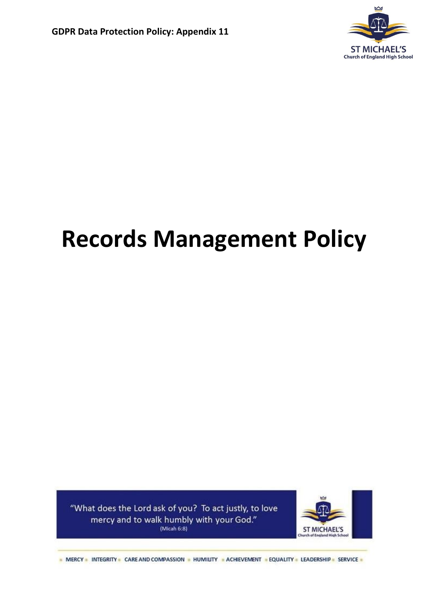

# **Records Management Policy**

"What does the Lord ask of you? To act justly, to love mercy and to walk humbly with your God." (Micah  $6:8$ )



- MERCY - INTEGRITY - CARE AND COMPASSION - HUMILITY - ACHIEVEMENT - EQUALITY - LEADERSHIP - SERVICE -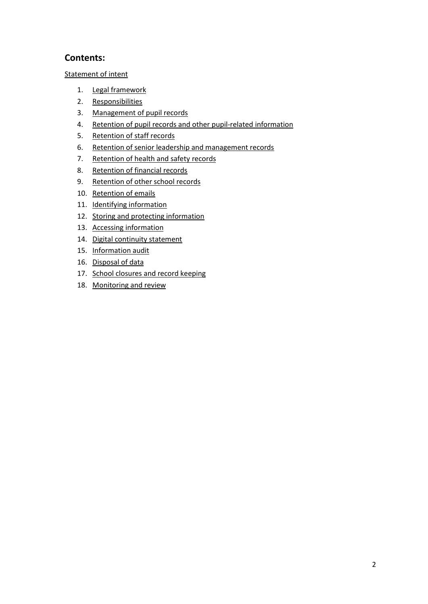# **Contents:**

[Statement of intent](#page-2-0)

- 1. [Legal framework](#page-3-0)
- 2. [Responsibilities](#page-3-1)
- 3. [Management of pupil records](#page-3-2)
- 4. [Retention of pupil records and other pupil-related information](#page-5-0)
- 5. [Retention of staff records](#page-10-0)
- 6. [Retention of senior leadership and management records](#page-12-0)
- 7. [Retention of health and safety](#page-15-0) records
- 8. [Retention of financial records](#page-17-0)
- 9. [Retention of other school records](#page-20-0)
- 10. Retention of emails
- 11. Identifying information
- 12. [Storing and protecting information](#page-22-0)
- 13. [Accessing information](#page-26-0)
- 14. [Digital continuity statement](#page-26-1)
- 15. [Information audit](#page-27-0)
- 16. [Disposal of data](#page-27-1)
- 17. School closures and record keeping
- 18. [Monitoring and review](#page-29-0)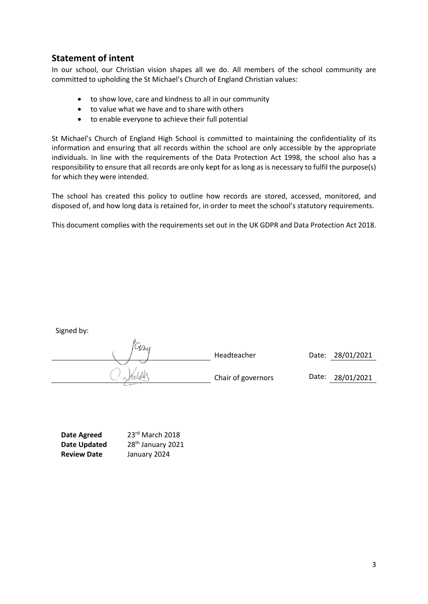# <span id="page-2-0"></span>**Statement of intent**

In our school, our Christian vision shapes all we do. All members of the school community are committed to upholding the St Michael's Church of England Christian values:

- to show love, care and kindness to all in our community
- to value what we have and to share with others
- to enable everyone to achieve their full potential

St Michael's Church of England High School is committed to maintaining the confidentiality of its information and ensuring that all records within the school are only accessible by the appropriate individuals. In line with the requirements of the Data Protection Act 1998, the school also has a responsibility to ensure that all records are only kept for as long as is necessary to fulfil the purpose(s) for which they were intended.

The school has created this policy to outline how records are stored, accessed, monitored, and disposed of, and how long data is retained for, in order to meet the school's statutory requirements.

This document complies with the requirements set out in the UK GDPR and Data Protection Act 2018.

| .<br>Way |                    |                  |
|----------|--------------------|------------------|
|          | Headteacher        | Date: 28/01/2021 |
|          | Chair of governors | Date: 28/01/2021 |

| <b>Date Agreed</b>  | 23rd March 2018               |
|---------------------|-------------------------------|
| <b>Date Updated</b> | 28 <sup>th</sup> January 2021 |
| <b>Review Date</b>  | January 2024                  |

Signed by: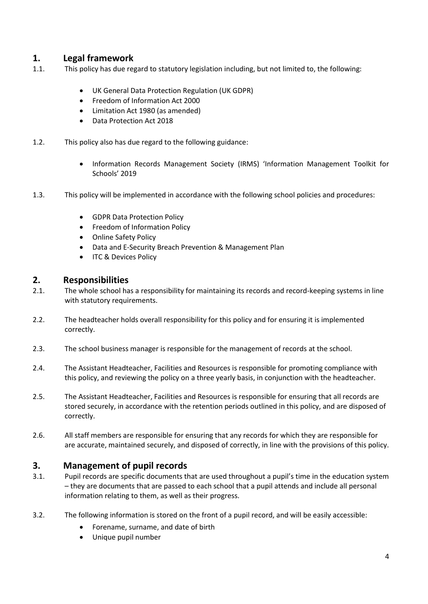# <span id="page-3-0"></span>**1. Legal framework**

- 1.1. This policy has due regard to statutory legislation including, but not limited to, the following:
	- UK General Data Protection Regulation (UK GDPR)
	- Freedom of Information Act 2000
	- Limitation Act 1980 (as amended)
	- Data Protection Act 2018
- 1.2. This policy also has due regard to the following guidance:
	- Information Records Management Society (IRMS) 'Information Management Toolkit for Schools' 2019
- 1.3. This policy will be implemented in accordance with the following school policies and procedures:
	- GDPR Data Protection Policy
	- Freedom of Information Policy
	- Online Safety Policy
	- Data and E-Security Breach Prevention & Management Plan
	- ITC & Devices Policy

#### <span id="page-3-1"></span>**2. Responsibilities**

- 2.1. The whole school has a responsibility for maintaining its records and record-keeping systems in line with statutory requirements.
- 2.2. The headteacher holds overall responsibility for this policy and for ensuring it is implemented correctly.
- 2.3. The school business manager is responsible for the management of records at the school.
- 2.4. The Assistant Headteacher, Facilities and Resources is responsible for promoting compliance with this policy, and reviewing the policy on a three yearly basis, in conjunction with the headteacher.
- 2.5. The Assistant Headteacher, Facilities and Resources is responsible for ensuring that all records are stored securely, in accordance with the retention periods outlined in this policy, and are disposed of correctly.
- 2.6. All staff members are responsible for ensuring that any records for which they are responsible for are accurate, maintained securely, and disposed of correctly, in line with the provisions of this policy.

#### <span id="page-3-2"></span>**3. Management of pupil records**

- 3.1. Pupil records are specific documents that are used throughout a pupil's time in the education system – they are documents that are passed to each school that a pupil attends and include all personal information relating to them, as well as their progress.
- 3.2. The following information is stored on the front of a pupil record, and will be easily accessible:
	- Forename, surname, and date of birth
	- Unique pupil number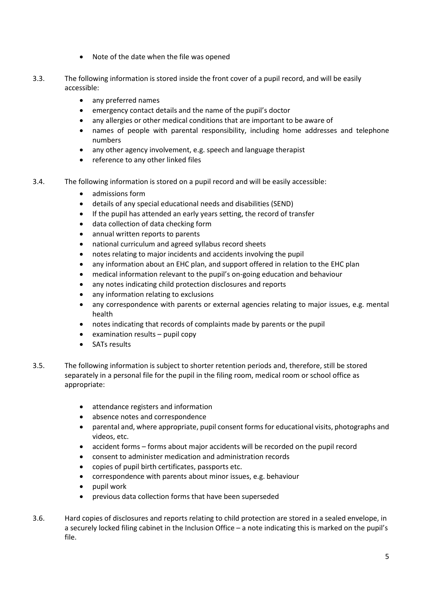- Note of the date when the file was opened
- 3.3. The following information is stored inside the front cover of a pupil record, and will be easily accessible:
	- any preferred names
	- emergency contact details and the name of the pupil's doctor
	- any allergies or other medical conditions that are important to be aware of
	- names of people with parental responsibility, including home addresses and telephone numbers
	- any other agency involvement, e.g. speech and language therapist
	- reference to any other linked files
- 3.4. The following information is stored on a pupil record and will be easily accessible:
	- admissions form
	- details of any special educational needs and disabilities (SEND)
	- If the pupil has attended an early years setting, the record of transfer
	- data collection of data checking form
	- annual written reports to parents
	- national curriculum and agreed syllabus record sheets
	- notes relating to major incidents and accidents involving the pupil
	- any information about an EHC plan, and support offered in relation to the EHC plan
	- medical information relevant to the pupil's on-going education and behaviour
	- any notes indicating child protection disclosures and reports
	- any information relating to exclusions
	- any correspondence with parents or external agencies relating to major issues, e.g. mental health
	- notes indicating that records of complaints made by parents or the pupil
	- examination results pupil copy
	- SATs results
- 3.5. The following information is subject to shorter retention periods and, therefore, still be stored separately in a personal file for the pupil in the filing room, medical room or school office as appropriate:
	- attendance registers and information
	- absence notes and correspondence
	- parental and, where appropriate, pupil consent forms for educational visits, photographs and videos, etc.
	- accident forms forms about major accidents will be recorded on the pupil record
	- consent to administer medication and administration records
	- copies of pupil birth certificates, passports etc.
	- correspondence with parents about minor issues, e.g. behaviour
	- pupil work
	- previous data collection forms that have been superseded
- 3.6. Hard copies of disclosures and reports relating to child protection are stored in a sealed envelope, in a securely locked filing cabinet in the Inclusion Office – a note indicating this is marked on the pupil's file.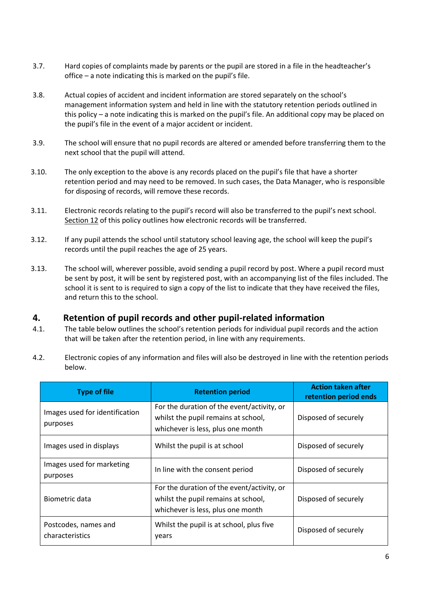- 3.7. Hard copies of complaints made by parents or the pupil are stored in a file in the headteacher's office – a note indicating this is marked on the pupil's file.
- 3.8. Actual copies of accident and incident information are stored separately on the school's management information system and held in line with the statutory retention periods outlined in this policy – a note indicating this is marked on the pupil's file. An additional copy may be placed on the pupil's file in the event of a major accident or incident.
- 3.9. The school will ensure that no pupil records are altered or amended before transferring them to the next school that the pupil will attend.
- 3.10. The only exception to the above is any records placed on the pupil's file that have a shorter retention period and may need to be removed. In such cases, the Data Manager, who is responsible for disposing of records, will remove these records.
- 3.11. Electronic records relating to the pupil's record will also be transferred to the pupil's next school. Section 12 of this policy outlines how electronic records will be transferred.
- 3.12. If any pupil attends the school until statutory school leaving age, the school will keep the pupil's records until the pupil reaches the age of 25 years.
- 3.13. The school will, wherever possible, avoid sending a pupil record by post. Where a pupil record must be sent by post, it will be sent by registered post, with an accompanying list of the files included. The school it is sent to is required to sign a copy of the list to indicate that they have received the files, and return this to the school.

#### <span id="page-5-0"></span>**4. Retention of pupil records and other pupil-related information**

- 4.1. The table below outlines the school's retention periods for individual pupil records and the action that will be taken after the retention period, in line with any requirements.
- 4.2. Electronic copies of any information and files will also be destroyed in line with the retention periods below.

| <b>Type of file</b>                        | <b>Retention period</b>                                                                                                | <b>Action taken after</b><br>retention period ends |
|--------------------------------------------|------------------------------------------------------------------------------------------------------------------------|----------------------------------------------------|
| Images used for identification<br>purposes | For the duration of the event/activity, or<br>whilst the pupil remains at school,<br>whichever is less, plus one month | Disposed of securely                               |
| Images used in displays                    | Whilst the pupil is at school                                                                                          | Disposed of securely                               |
| Images used for marketing<br>purposes      | In line with the consent period                                                                                        | Disposed of securely                               |
| Biometric data                             | For the duration of the event/activity, or<br>whilst the pupil remains at school,<br>whichever is less, plus one month | Disposed of securely                               |
| Postcodes, names and<br>characteristics    | Whilst the pupil is at school, plus five<br>years                                                                      | Disposed of securely                               |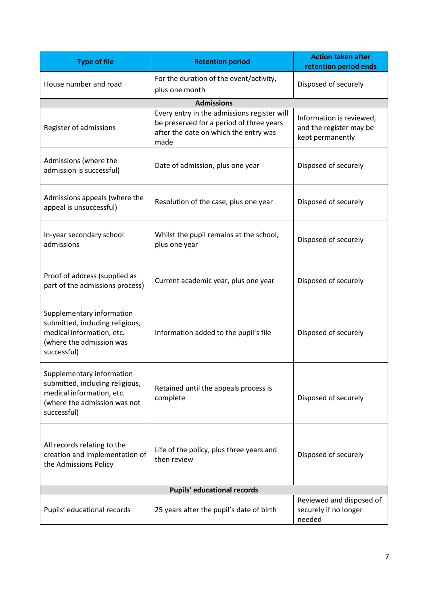| <b>Type of file</b>                                                                                                                      | <b>Retention period</b>                                                                                                                  | <b>Action taken after</b><br>retention period ends                      |
|------------------------------------------------------------------------------------------------------------------------------------------|------------------------------------------------------------------------------------------------------------------------------------------|-------------------------------------------------------------------------|
| House number and road                                                                                                                    | For the duration of the event/activity,<br>plus one month                                                                                | Disposed of securely                                                    |
|                                                                                                                                          | <b>Admissions</b>                                                                                                                        |                                                                         |
| Register of admissions                                                                                                                   | Every entry in the admissions register will<br>be preserved for a period of three years<br>after the date on which the entry was<br>made | Information is reviewed,<br>and the register may be<br>kept permanently |
| Admissions (where the<br>admission is successful)                                                                                        | Date of admission, plus one year                                                                                                         | Disposed of securely                                                    |
| Admissions appeals (where the<br>appeal is unsuccessful)                                                                                 | Resolution of the case, plus one year                                                                                                    | Disposed of securely                                                    |
| In-year secondary school<br>admissions                                                                                                   | Whilst the pupil remains at the school,<br>plus one year                                                                                 | Disposed of securely                                                    |
| Proof of address (supplied as<br>part of the admissions process)                                                                         | Current academic year, plus one year                                                                                                     | Disposed of securely                                                    |
| Supplementary information<br>submitted, including religious,<br>medical information, etc.<br>(where the admission was<br>successful)     | Information added to the pupil's file                                                                                                    | Disposed of securely                                                    |
| Supplementary information<br>submitted, including religious,<br>medical information, etc.<br>(where the admission was not<br>successful) | Retained until the appeals process is<br>complete                                                                                        | Disposed of securely                                                    |
| All records relating to the<br>creation and implementation of<br>the Admissions Policy                                                   | Life of the policy, plus three years and<br>then review                                                                                  | Disposed of securely                                                    |
| <b>Pupils' educational records</b>                                                                                                       |                                                                                                                                          |                                                                         |
| Pupils' educational records                                                                                                              | 25 years after the pupil's date of birth                                                                                                 | Reviewed and disposed of<br>securely if no longer<br>needed             |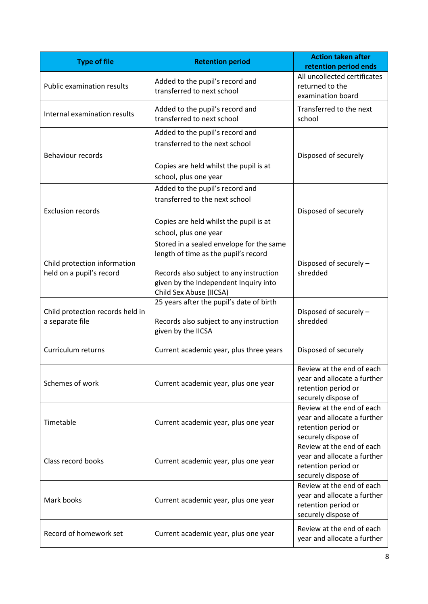| <b>Type of file</b>                                      | <b>Retention period</b>                                                                                                                                                                         | <b>Action taken after</b><br>retention period ends                                                     |
|----------------------------------------------------------|-------------------------------------------------------------------------------------------------------------------------------------------------------------------------------------------------|--------------------------------------------------------------------------------------------------------|
| <b>Public examination results</b>                        | Added to the pupil's record and<br>transferred to next school                                                                                                                                   | All uncollected certificates<br>returned to the<br>examination board                                   |
| Internal examination results                             | Added to the pupil's record and<br>transferred to next school                                                                                                                                   | Transferred to the next<br>school                                                                      |
| <b>Behaviour records</b>                                 | Added to the pupil's record and<br>transferred to the next school<br>Copies are held whilst the pupil is at<br>school, plus one year                                                            | Disposed of securely                                                                                   |
| <b>Exclusion records</b>                                 | Added to the pupil's record and<br>transferred to the next school<br>Copies are held whilst the pupil is at<br>school, plus one year                                                            | Disposed of securely                                                                                   |
| Child protection information<br>held on a pupil's record | Stored in a sealed envelope for the same<br>length of time as the pupil's record<br>Records also subject to any instruction<br>given by the Independent Inquiry into<br>Child Sex Abuse (IICSA) | Disposed of securely -<br>shredded                                                                     |
| Child protection records held in<br>a separate file      | 25 years after the pupil's date of birth<br>Records also subject to any instruction<br>given by the IICSA                                                                                       | Disposed of securely -<br>shredded                                                                     |
| Curriculum returns                                       | Current academic year, plus three years                                                                                                                                                         | Disposed of securely                                                                                   |
| Schemes of work                                          | Current academic year, plus one year                                                                                                                                                            | Review at the end of each<br>year and allocate a further<br>retention period or<br>securely dispose of |
| Timetable                                                | Current academic year, plus one year                                                                                                                                                            | Review at the end of each<br>year and allocate a further<br>retention period or<br>securely dispose of |
| Class record books                                       | Current academic year, plus one year                                                                                                                                                            | Review at the end of each<br>year and allocate a further<br>retention period or<br>securely dispose of |
| Mark books                                               | Current academic year, plus one year                                                                                                                                                            | Review at the end of each<br>year and allocate a further<br>retention period or<br>securely dispose of |
| Record of homework set                                   | Current academic year, plus one year                                                                                                                                                            | Review at the end of each<br>year and allocate a further                                               |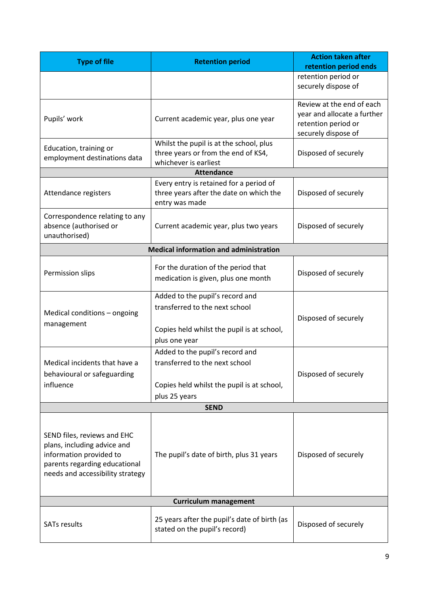| <b>Type of file</b>                                                                                                                                        | <b>Retention period</b>                                                                                                          | <b>Action taken after</b><br>retention period ends                                                     |
|------------------------------------------------------------------------------------------------------------------------------------------------------------|----------------------------------------------------------------------------------------------------------------------------------|--------------------------------------------------------------------------------------------------------|
|                                                                                                                                                            |                                                                                                                                  | retention period or<br>securely dispose of                                                             |
| Pupils' work                                                                                                                                               | Current academic year, plus one year                                                                                             | Review at the end of each<br>year and allocate a further<br>retention period or<br>securely dispose of |
| Education, training or<br>employment destinations data                                                                                                     | Whilst the pupil is at the school, plus<br>three years or from the end of KS4,<br>whichever is earliest                          | Disposed of securely                                                                                   |
|                                                                                                                                                            | <b>Attendance</b>                                                                                                                |                                                                                                        |
| Attendance registers                                                                                                                                       | Every entry is retained for a period of<br>three years after the date on which the<br>entry was made                             | Disposed of securely                                                                                   |
| Correspondence relating to any<br>absence (authorised or<br>unauthorised)                                                                                  | Current academic year, plus two years                                                                                            | Disposed of securely                                                                                   |
|                                                                                                                                                            | <b>Medical information and administration</b>                                                                                    |                                                                                                        |
| Permission slips                                                                                                                                           | For the duration of the period that<br>medication is given, plus one month                                                       | Disposed of securely                                                                                   |
| Medical conditions - ongoing<br>management                                                                                                                 | Added to the pupil's record and<br>transferred to the next school<br>Copies held whilst the pupil is at school,                  | Disposed of securely                                                                                   |
|                                                                                                                                                            | plus one year                                                                                                                    |                                                                                                        |
| Medical incidents that have a<br>behavioural or safeguarding<br>influence                                                                                  | Added to the pupil's record and<br>transferred to the next school<br>Copies held whilst the pupil is at school,<br>plus 25 years | Disposed of securely                                                                                   |
|                                                                                                                                                            | <b>SEND</b>                                                                                                                      |                                                                                                        |
| SEND files, reviews and EHC<br>plans, including advice and<br>information provided to<br>parents regarding educational<br>needs and accessibility strategy | The pupil's date of birth, plus 31 years                                                                                         | Disposed of securely                                                                                   |
| <b>Curriculum management</b>                                                                                                                               |                                                                                                                                  |                                                                                                        |
| <b>SATs results</b>                                                                                                                                        | 25 years after the pupil's date of birth (as<br>stated on the pupil's record)                                                    | Disposed of securely                                                                                   |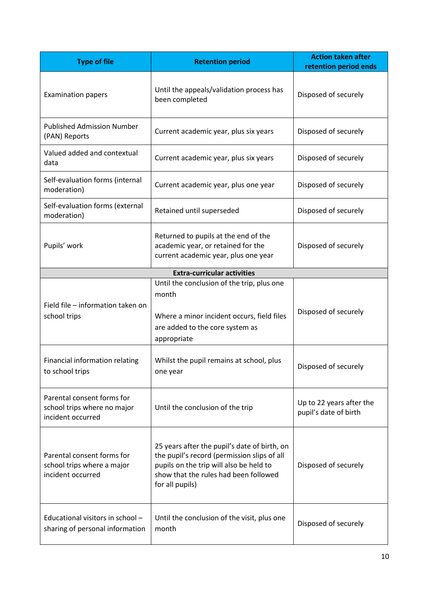| <b>Type of file</b>                                                            | <b>Retention period</b>                                                                                                                                                                            | <b>Action taken after</b><br>retention period ends |
|--------------------------------------------------------------------------------|----------------------------------------------------------------------------------------------------------------------------------------------------------------------------------------------------|----------------------------------------------------|
| <b>Examination papers</b>                                                      | Until the appeals/validation process has<br>been completed                                                                                                                                         | Disposed of securely                               |
| <b>Published Admission Number</b><br>(PAN) Reports                             | Current academic year, plus six years                                                                                                                                                              | Disposed of securely                               |
| Valued added and contextual<br>data                                            | Current academic year, plus six years                                                                                                                                                              | Disposed of securely                               |
| Self-evaluation forms (internal<br>moderation)                                 | Current academic year, plus one year                                                                                                                                                               | Disposed of securely                               |
| Self-evaluation forms (external<br>moderation)                                 | Retained until superseded                                                                                                                                                                          | Disposed of securely                               |
| Pupils' work                                                                   | Returned to pupils at the end of the<br>academic year, or retained for the<br>current academic year, plus one year                                                                                 | Disposed of securely                               |
|                                                                                | <b>Extra-curricular activities</b>                                                                                                                                                                 |                                                    |
| Field file - information taken on<br>school trips                              | Until the conclusion of the trip, plus one<br>month<br>Where a minor incident occurs, field files<br>are added to the core system as<br>appropriate                                                | Disposed of securely                               |
| Financial information relating<br>to school trips                              | Whilst the pupil remains at school, plus<br>one year                                                                                                                                               | Disposed of securely                               |
| Parental consent forms for<br>school trips where no major<br>incident occurred | Until the conclusion of the trip                                                                                                                                                                   | Up to 22 years after the<br>pupil's date of birth  |
| Parental consent forms for<br>school trips where a major<br>incident occurred  | 25 years after the pupil's date of birth, on<br>the pupil's record (permission slips of all<br>pupils on the trip will also be held to<br>show that the rules had been followed<br>for all pupils) | Disposed of securely                               |
| Educational visitors in school -<br>sharing of personal information            | Until the conclusion of the visit, plus one<br>month                                                                                                                                               | Disposed of securely                               |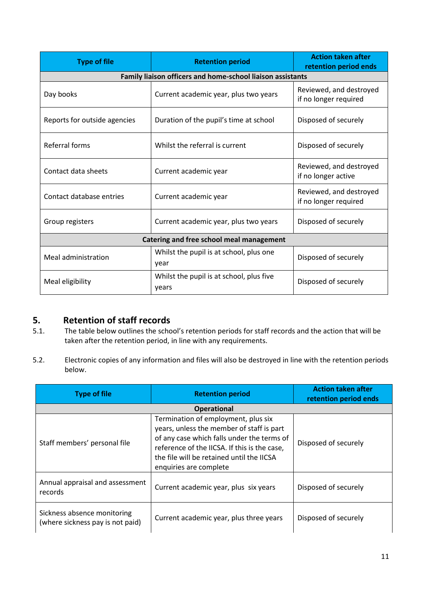| <b>Type of file</b>                      | <b>Retention period</b>                                    | <b>Action taken after</b><br>retention period ends |
|------------------------------------------|------------------------------------------------------------|----------------------------------------------------|
|                                          | Family liaison officers and home-school liaison assistants |                                                    |
| Day books                                | Current academic year, plus two years                      | Reviewed, and destroyed<br>if no longer required   |
| Reports for outside agencies             | Duration of the pupil's time at school                     | Disposed of securely                               |
| Referral forms                           | Whilst the referral is current                             | Disposed of securely                               |
| Contact data sheets                      | Current academic year                                      | Reviewed, and destroyed<br>if no longer active     |
| Contact database entries                 | Current academic year                                      | Reviewed, and destroyed<br>if no longer required   |
| Group registers                          | Current academic year, plus two years                      | Disposed of securely                               |
| Catering and free school meal management |                                                            |                                                    |
| Meal administration                      | Whilst the pupil is at school, plus one<br>year            | Disposed of securely                               |
| Meal eligibility                         | Whilst the pupil is at school, plus five<br>years          | Disposed of securely                               |

# <span id="page-10-0"></span>**5. Retention of staff records**

- 5.1. The table below outlines the school's retention periods for staff records and the action that will be taken after the retention period, in line with any requirements.
- 5.2. Electronic copies of any information and files will also be destroyed in line with the retention periods below.

| <b>Type of file</b>                                             | <b>Retention period</b>                                                                                                                                                                                                                               | <b>Action taken after</b><br>retention period ends |
|-----------------------------------------------------------------|-------------------------------------------------------------------------------------------------------------------------------------------------------------------------------------------------------------------------------------------------------|----------------------------------------------------|
|                                                                 | <b>Operational</b>                                                                                                                                                                                                                                    |                                                    |
| Staff members' personal file                                    | Termination of employment, plus six<br>years, unless the member of staff is part<br>of any case which falls under the terms of<br>reference of the IICSA. If this is the case,<br>the file will be retained until the IICSA<br>enquiries are complete | Disposed of securely                               |
| Annual appraisal and assessment<br>records                      | Current academic year, plus six years                                                                                                                                                                                                                 | Disposed of securely                               |
| Sickness absence monitoring<br>(where sickness pay is not paid) | Current academic year, plus three years                                                                                                                                                                                                               | Disposed of securely                               |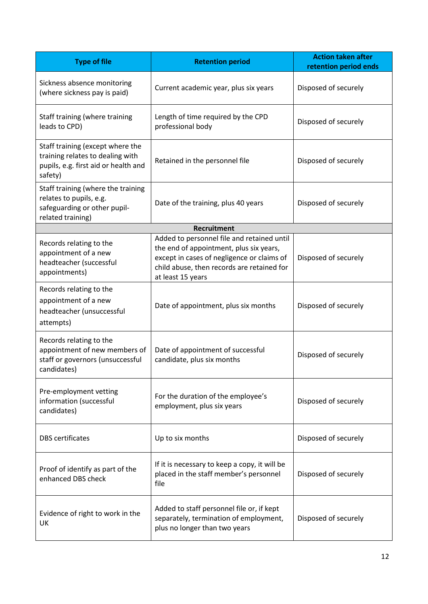| <b>Type of file</b>                                                                                                     | <b>Retention period</b>                                                                                                                                                                                | <b>Action taken after</b><br>retention period ends |
|-------------------------------------------------------------------------------------------------------------------------|--------------------------------------------------------------------------------------------------------------------------------------------------------------------------------------------------------|----------------------------------------------------|
| Sickness absence monitoring<br>(where sickness pay is paid)                                                             | Current academic year, plus six years                                                                                                                                                                  | Disposed of securely                               |
| Staff training (where training<br>leads to CPD)                                                                         | Length of time required by the CPD<br>professional body                                                                                                                                                | Disposed of securely                               |
| Staff training (except where the<br>training relates to dealing with<br>pupils, e.g. first aid or health and<br>safety) | Retained in the personnel file                                                                                                                                                                         | Disposed of securely                               |
| Staff training (where the training<br>relates to pupils, e.g.<br>safeguarding or other pupil-<br>related training)      | Date of the training, plus 40 years                                                                                                                                                                    | Disposed of securely                               |
|                                                                                                                         | <b>Recruitment</b>                                                                                                                                                                                     |                                                    |
| Records relating to the<br>appointment of a new<br>headteacher (successful<br>appointments)                             | Added to personnel file and retained until<br>the end of appointment, plus six years,<br>except in cases of negligence or claims of<br>child abuse, then records are retained for<br>at least 15 years | Disposed of securely                               |
| Records relating to the<br>appointment of a new<br>headteacher (unsuccessful<br>attempts)                               | Date of appointment, plus six months                                                                                                                                                                   | Disposed of securely                               |
| Records relating to the<br>appointment of new members of<br>staff or governors (unsuccessful<br>candidates)             | Date of appointment of successful<br>candidate, plus six months                                                                                                                                        | Disposed of securely                               |
| Pre-employment vetting<br>information (successful<br>candidates)                                                        | For the duration of the employee's<br>employment, plus six years                                                                                                                                       | Disposed of securely                               |
| <b>DBS</b> certificates                                                                                                 | Up to six months                                                                                                                                                                                       | Disposed of securely                               |
| Proof of identify as part of the<br>enhanced DBS check                                                                  | If it is necessary to keep a copy, it will be<br>placed in the staff member's personnel<br>file                                                                                                        | Disposed of securely                               |
| Evidence of right to work in the<br>UK                                                                                  | Added to staff personnel file or, if kept<br>separately, termination of employment,<br>plus no longer than two years                                                                                   | Disposed of securely                               |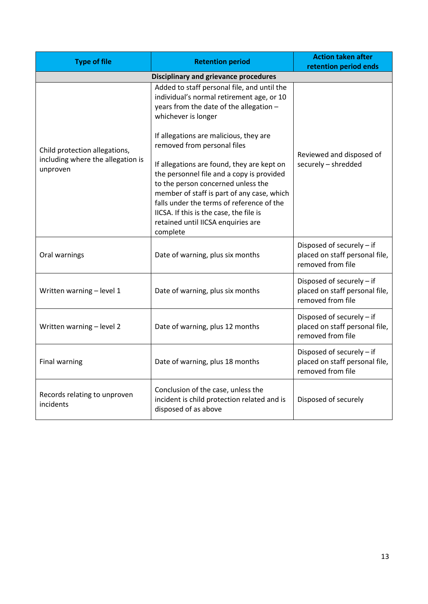<span id="page-12-1"></span><span id="page-12-0"></span>

| <b>Type of file</b>                                                            | <b>Retention period</b>                                                                                                                                                                                                                                                                                               | <b>Action taken after</b><br>retention period ends                               |
|--------------------------------------------------------------------------------|-----------------------------------------------------------------------------------------------------------------------------------------------------------------------------------------------------------------------------------------------------------------------------------------------------------------------|----------------------------------------------------------------------------------|
| <b>Disciplinary and grievance procedures</b>                                   |                                                                                                                                                                                                                                                                                                                       |                                                                                  |
| Child protection allegations,<br>including where the allegation is<br>unproven | Added to staff personal file, and until the<br>individual's normal retirement age, or 10<br>years from the date of the allegation -<br>whichever is longer                                                                                                                                                            |                                                                                  |
|                                                                                | If allegations are malicious, they are<br>removed from personal files                                                                                                                                                                                                                                                 | Reviewed and disposed of<br>securely - shredded                                  |
|                                                                                | If allegations are found, they are kept on<br>the personnel file and a copy is provided<br>to the person concerned unless the<br>member of staff is part of any case, which<br>falls under the terms of reference of the<br>IICSA. If this is the case, the file is<br>retained until IICSA enquiries are<br>complete |                                                                                  |
| Oral warnings                                                                  | Date of warning, plus six months                                                                                                                                                                                                                                                                                      | Disposed of securely - if<br>placed on staff personal file,<br>removed from file |
| Written warning - level 1                                                      | Date of warning, plus six months                                                                                                                                                                                                                                                                                      | Disposed of securely - if<br>placed on staff personal file,<br>removed from file |
| Written warning - level 2                                                      | Date of warning, plus 12 months                                                                                                                                                                                                                                                                                       | Disposed of securely - if<br>placed on staff personal file,<br>removed from file |
| <b>Final warning</b>                                                           | Date of warning, plus 18 months                                                                                                                                                                                                                                                                                       | Disposed of securely - if<br>placed on staff personal file,<br>removed from file |
| Records relating to unproven<br>incidents                                      | Conclusion of the case, unless the<br>incident is child protection related and is<br>disposed of as above                                                                                                                                                                                                             | Disposed of securely                                                             |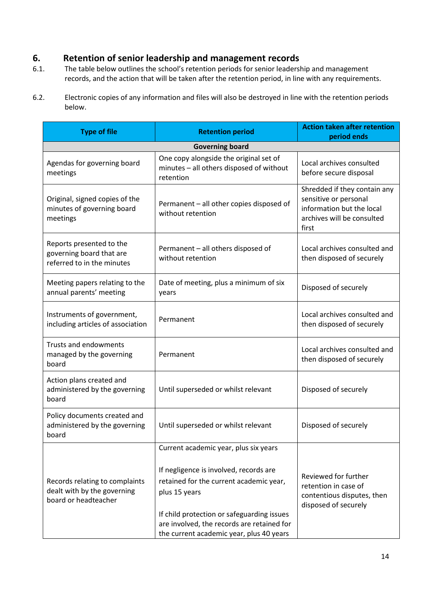# **6. Retention of senior leadership and management records**

- 6.1. The table below outlines the school's retention periods for senior leadership and management records, and the action that will be taken after the retention period, in line with any requirements.
- 6.2. Electronic copies of any information and files will also be destroyed in line with the retention periods below.

| <b>Type of file</b>                                                                   | <b>Retention period</b>                                                                                                                                                                                                                                                             | <b>Action taken after retention</b><br>period ends                                                                        |
|---------------------------------------------------------------------------------------|-------------------------------------------------------------------------------------------------------------------------------------------------------------------------------------------------------------------------------------------------------------------------------------|---------------------------------------------------------------------------------------------------------------------------|
|                                                                                       | <b>Governing board</b>                                                                                                                                                                                                                                                              |                                                                                                                           |
| Agendas for governing board<br>meetings                                               | One copy alongside the original set of<br>minutes - all others disposed of without<br>retention                                                                                                                                                                                     | Local archives consulted<br>before secure disposal                                                                        |
| Original, signed copies of the<br>minutes of governing board<br>meetings              | Permanent - all other copies disposed of<br>without retention                                                                                                                                                                                                                       | Shredded if they contain any<br>sensitive or personal<br>information but the local<br>archives will be consulted<br>first |
| Reports presented to the<br>governing board that are<br>referred to in the minutes    | Permanent - all others disposed of<br>without retention                                                                                                                                                                                                                             | Local archives consulted and<br>then disposed of securely                                                                 |
| Meeting papers relating to the<br>annual parents' meeting                             | Date of meeting, plus a minimum of six<br>years                                                                                                                                                                                                                                     | Disposed of securely                                                                                                      |
| Instruments of government,<br>including articles of association                       | Permanent                                                                                                                                                                                                                                                                           | Local archives consulted and<br>then disposed of securely                                                                 |
| Trusts and endowments<br>managed by the governing<br>board                            | Permanent                                                                                                                                                                                                                                                                           | Local archives consulted and<br>then disposed of securely                                                                 |
| Action plans created and<br>administered by the governing<br>board                    | Until superseded or whilst relevant                                                                                                                                                                                                                                                 | Disposed of securely                                                                                                      |
| Policy documents created and<br>administered by the governing<br>board                | Until superseded or whilst relevant                                                                                                                                                                                                                                                 | Disposed of securely                                                                                                      |
| Records relating to complaints<br>dealt with by the governing<br>board or headteacher | Current academic year, plus six years<br>If negligence is involved, records are<br>retained for the current academic year,<br>plus 15 years<br>If child protection or safeguarding issues<br>are involved, the records are retained for<br>the current academic year, plus 40 years | Reviewed for further<br>retention in case of<br>contentious disputes, then<br>disposed of securely                        |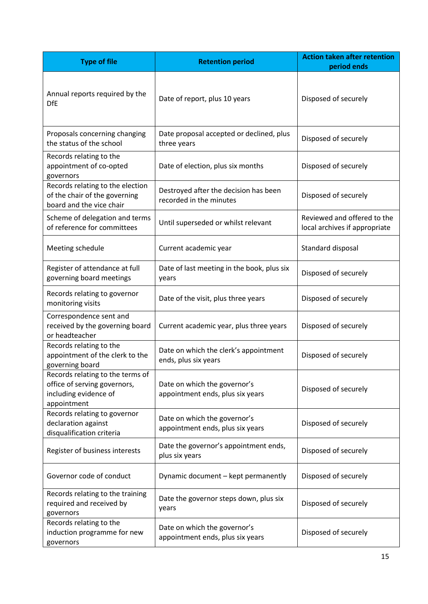| <b>Type of file</b>                                                                                      | <b>Retention period</b>                                          | <b>Action taken after retention</b><br>period ends           |
|----------------------------------------------------------------------------------------------------------|------------------------------------------------------------------|--------------------------------------------------------------|
| Annual reports required by the<br><b>DfE</b>                                                             | Date of report, plus 10 years                                    | Disposed of securely                                         |
| Proposals concerning changing<br>the status of the school                                                | Date proposal accepted or declined, plus<br>three years          | Disposed of securely                                         |
| Records relating to the<br>appointment of co-opted<br>governors                                          | Date of election, plus six months                                | Disposed of securely                                         |
| Records relating to the election<br>of the chair of the governing<br>board and the vice chair            | Destroyed after the decision has been<br>recorded in the minutes | Disposed of securely                                         |
| Scheme of delegation and terms<br>of reference for committees                                            | Until superseded or whilst relevant                              | Reviewed and offered to the<br>local archives if appropriate |
| Meeting schedule                                                                                         | Current academic year                                            | Standard disposal                                            |
| Register of attendance at full<br>governing board meetings                                               | Date of last meeting in the book, plus six<br>years              | Disposed of securely                                         |
| Records relating to governor<br>monitoring visits                                                        | Date of the visit, plus three years                              | Disposed of securely                                         |
| Correspondence sent and<br>received by the governing board<br>or headteacher                             | Current academic year, plus three years                          | Disposed of securely                                         |
| Records relating to the<br>appointment of the clerk to the<br>governing board                            | Date on which the clerk's appointment<br>ends, plus six years    | Disposed of securely                                         |
| Records relating to the terms of<br>office of serving governors,<br>including evidence of<br>appointment | Date on which the governor's<br>appointment ends, plus six years | Disposed of securely                                         |
| Records relating to governor<br>declaration against<br>disqualification criteria                         | Date on which the governor's<br>appointment ends, plus six years | Disposed of securely                                         |
| Register of business interests                                                                           | Date the governor's appointment ends,<br>plus six years          | Disposed of securely                                         |
| Governor code of conduct                                                                                 | Dynamic document - kept permanently                              | Disposed of securely                                         |
| Records relating to the training<br>required and received by<br>governors                                | Date the governor steps down, plus six<br>years                  | Disposed of securely                                         |
| Records relating to the<br>induction programme for new<br>governors                                      | Date on which the governor's<br>appointment ends, plus six years | Disposed of securely                                         |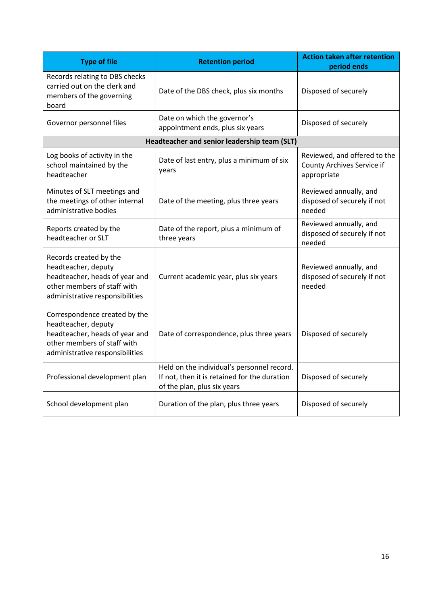<span id="page-15-0"></span>

| <b>Type of file</b>                                                                                                                                      | <b>Retention period</b>                                                                                                   | <b>Action taken after retention</b><br>period ends                        |
|----------------------------------------------------------------------------------------------------------------------------------------------------------|---------------------------------------------------------------------------------------------------------------------------|---------------------------------------------------------------------------|
| Records relating to DBS checks<br>carried out on the clerk and<br>members of the governing<br>board                                                      | Date of the DBS check, plus six months                                                                                    | Disposed of securely                                                      |
| Governor personnel files                                                                                                                                 | Date on which the governor's<br>appointment ends, plus six years                                                          | Disposed of securely                                                      |
|                                                                                                                                                          | Headteacher and senior leadership team (SLT)                                                                              |                                                                           |
| Log books of activity in the<br>school maintained by the<br>headteacher                                                                                  | Date of last entry, plus a minimum of six<br>years                                                                        | Reviewed, and offered to the<br>County Archives Service if<br>appropriate |
| Minutes of SLT meetings and<br>the meetings of other internal<br>administrative bodies                                                                   | Date of the meeting, plus three years                                                                                     | Reviewed annually, and<br>disposed of securely if not<br>needed           |
| Reports created by the<br>headteacher or SLT                                                                                                             | Date of the report, plus a minimum of<br>three years                                                                      | Reviewed annually, and<br>disposed of securely if not<br>needed           |
| Records created by the<br>headteacher, deputy<br>headteacher, heads of year and<br>other members of staff with<br>administrative responsibilities        | Current academic year, plus six years                                                                                     | Reviewed annually, and<br>disposed of securely if not<br>needed           |
| Correspondence created by the<br>headteacher, deputy<br>headteacher, heads of year and<br>other members of staff with<br>administrative responsibilities | Date of correspondence, plus three years                                                                                  | Disposed of securely                                                      |
| Professional development plan                                                                                                                            | Held on the individual's personnel record.<br>If not, then it is retained for the duration<br>of the plan, plus six years | Disposed of securely                                                      |
| School development plan                                                                                                                                  | Duration of the plan, plus three years                                                                                    | Disposed of securely                                                      |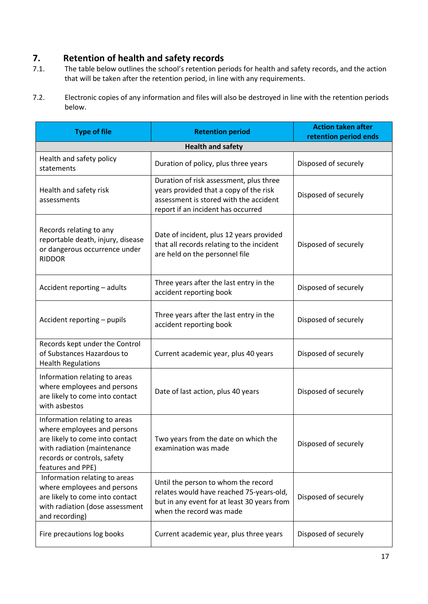# **7. Retention of health and safety records**<br>**7.1.** The table below outlines the school's retention per

- The table below outlines the school's retention periods for health and safety records, and the action that will be taken after the retention period, in line with any requirements.
- 7.2. Electronic copies of any information and files will also be destroyed in line with the retention periods below.

| <b>Type of file</b>                                                                                                                                                                | <b>Retention period</b>                                                                                                                                           | <b>Action taken after</b><br>retention period ends |
|------------------------------------------------------------------------------------------------------------------------------------------------------------------------------------|-------------------------------------------------------------------------------------------------------------------------------------------------------------------|----------------------------------------------------|
|                                                                                                                                                                                    | <b>Health and safety</b>                                                                                                                                          |                                                    |
| Health and safety policy<br>statements                                                                                                                                             | Duration of policy, plus three years                                                                                                                              | Disposed of securely                               |
| Health and safety risk<br>assessments                                                                                                                                              | Duration of risk assessment, plus three<br>years provided that a copy of the risk<br>assessment is stored with the accident<br>report if an incident has occurred | Disposed of securely                               |
| Records relating to any<br>reportable death, injury, disease<br>or dangerous occurrence under<br><b>RIDDOR</b>                                                                     | Date of incident, plus 12 years provided<br>that all records relating to the incident<br>are held on the personnel file                                           | Disposed of securely                               |
| Accident reporting - adults                                                                                                                                                        | Three years after the last entry in the<br>accident reporting book                                                                                                | Disposed of securely                               |
| Accident reporting - pupils                                                                                                                                                        | Three years after the last entry in the<br>accident reporting book                                                                                                | Disposed of securely                               |
| Records kept under the Control<br>of Substances Hazardous to<br><b>Health Regulations</b>                                                                                          | Current academic year, plus 40 years                                                                                                                              | Disposed of securely                               |
| Information relating to areas<br>where employees and persons<br>are likely to come into contact<br>with asbestos                                                                   | Date of last action, plus 40 years                                                                                                                                | Disposed of securely                               |
| Information relating to areas<br>where employees and persons<br>are likely to come into contact<br>with radiation (maintenance<br>records or controls, safety<br>features and PPE) | Two years from the date on which the<br>examination was made                                                                                                      | Disposed of securely                               |
| Information relating to areas<br>where employees and persons<br>are likely to come into contact<br>with radiation (dose assessment<br>and recording)                               | Until the person to whom the record<br>relates would have reached 75-years-old,<br>but in any event for at least 30 years from<br>when the record was made        | Disposed of securely                               |
| Fire precautions log books                                                                                                                                                         | Current academic year, plus three years                                                                                                                           | Disposed of securely                               |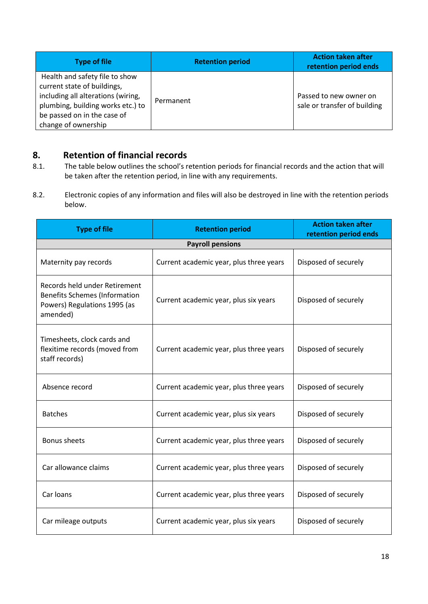| <b>Type of file</b>                                                                                                                                                                            | <b>Retention period</b> | <b>Action taken after</b><br>retention period ends     |
|------------------------------------------------------------------------------------------------------------------------------------------------------------------------------------------------|-------------------------|--------------------------------------------------------|
| Health and safety file to show<br>current state of buildings,<br>including all alterations (wiring,<br>plumbing, building works etc.) to<br>be passed on in the case of<br>change of ownership | Permanent               | Passed to new owner on<br>sale or transfer of building |

# <span id="page-17-0"></span>**8. Retention of financial records**

- 8.1. The table below outlines the school's retention periods for financial records and the action that will be taken after the retention period, in line with any requirements.
- 8.2. Electronic copies of any information and files will also be destroyed in line with the retention periods below.

| <b>Type of file</b>                                                                                               | <b>Retention period</b>                 | <b>Action taken after</b><br>retention period ends |  |
|-------------------------------------------------------------------------------------------------------------------|-----------------------------------------|----------------------------------------------------|--|
| <b>Payroll pensions</b>                                                                                           |                                         |                                                    |  |
| Maternity pay records                                                                                             | Current academic year, plus three years | Disposed of securely                               |  |
| Records held under Retirement<br><b>Benefits Schemes (Information</b><br>Powers) Regulations 1995 (as<br>amended) | Current academic year, plus six years   | Disposed of securely                               |  |
| Timesheets, clock cards and<br>flexitime records (moved from<br>staff records)                                    | Current academic year, plus three years | Disposed of securely                               |  |
| Absence record                                                                                                    | Current academic year, plus three years | Disposed of securely                               |  |
| <b>Batches</b>                                                                                                    | Current academic year, plus six years   | Disposed of securely                               |  |
| <b>Bonus sheets</b>                                                                                               | Current academic year, plus three years | Disposed of securely                               |  |
| Car allowance claims                                                                                              | Current academic year, plus three years | Disposed of securely                               |  |
| Car loans                                                                                                         | Current academic year, plus three years | Disposed of securely                               |  |
| Car mileage outputs                                                                                               | Current academic year, plus six years   | Disposed of securely                               |  |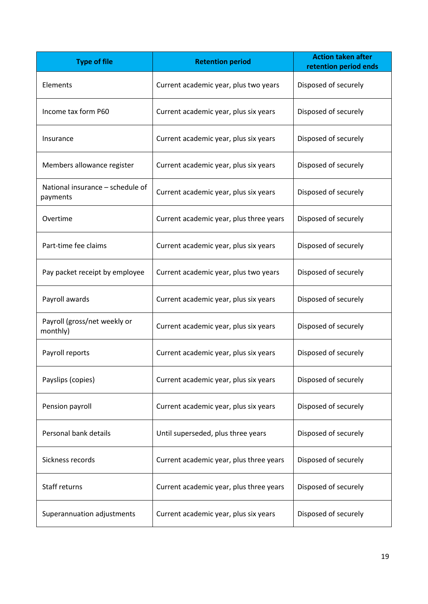| <b>Type of file</b>                          | <b>Retention period</b>                 | <b>Action taken after</b><br>retention period ends |
|----------------------------------------------|-----------------------------------------|----------------------------------------------------|
| Elements                                     | Current academic year, plus two years   | Disposed of securely                               |
| Income tax form P60                          | Current academic year, plus six years   | Disposed of securely                               |
| Insurance                                    | Current academic year, plus six years   | Disposed of securely                               |
| Members allowance register                   | Current academic year, plus six years   | Disposed of securely                               |
| National insurance - schedule of<br>payments | Current academic year, plus six years   | Disposed of securely                               |
| Overtime                                     | Current academic year, plus three years | Disposed of securely                               |
| Part-time fee claims                         | Current academic year, plus six years   | Disposed of securely                               |
| Pay packet receipt by employee               | Current academic year, plus two years   | Disposed of securely                               |
| Payroll awards                               | Current academic year, plus six years   | Disposed of securely                               |
| Payroll (gross/net weekly or<br>monthly)     | Current academic year, plus six years   | Disposed of securely                               |
| Payroll reports                              | Current academic year, plus six years   | Disposed of securely                               |
| Payslips (copies)                            | Current academic year, plus six years   | Disposed of securely                               |
| Pension payroll                              | Current academic year, plus six years   | Disposed of securely                               |
| Personal bank details                        | Until superseded, plus three years      | Disposed of securely                               |
| Sickness records                             | Current academic year, plus three years | Disposed of securely                               |
| Staff returns                                | Current academic year, plus three years | Disposed of securely                               |
| Superannuation adjustments                   | Current academic year, plus six years   | Disposed of securely                               |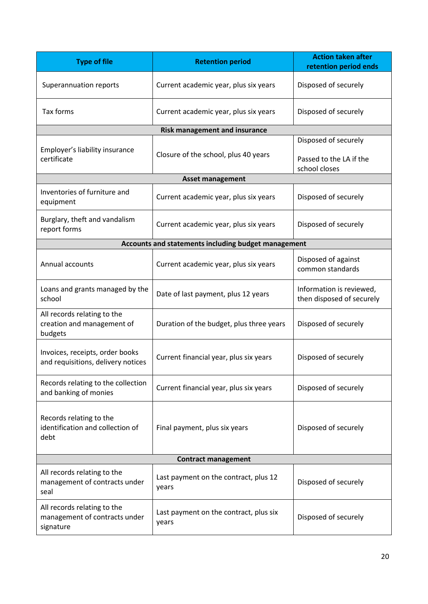| <b>Type of file</b>                                                       | <b>Retention period</b>                         | <b>Action taken after</b><br>retention period ends               |
|---------------------------------------------------------------------------|-------------------------------------------------|------------------------------------------------------------------|
| Superannuation reports                                                    | Current academic year, plus six years           | Disposed of securely                                             |
| Tax forms                                                                 | Current academic year, plus six years           | Disposed of securely                                             |
|                                                                           | <b>Risk management and insurance</b>            |                                                                  |
| Employer's liability insurance<br>certificate                             | Closure of the school, plus 40 years            | Disposed of securely<br>Passed to the LA if the<br>school closes |
|                                                                           | <b>Asset management</b>                         |                                                                  |
| Inventories of furniture and<br>equipment                                 | Current academic year, plus six years           | Disposed of securely                                             |
| Burglary, theft and vandalism<br>report forms                             | Current academic year, plus six years           | Disposed of securely                                             |
| Accounts and statements including budget management                       |                                                 |                                                                  |
| Annual accounts                                                           | Current academic year, plus six years           | Disposed of against<br>common standards                          |
| Loans and grants managed by the<br>school                                 | Date of last payment, plus 12 years             | Information is reviewed,<br>then disposed of securely            |
| All records relating to the<br>creation and management of<br>budgets      | Duration of the budget, plus three years        | Disposed of securely                                             |
| Invoices, receipts, order books<br>and requisitions, delivery notices     | Current financial year, plus six years          | Disposed of securely                                             |
| Records relating to the collection<br>and banking of monies               | Current financial year, plus six years          | Disposed of securely                                             |
| Records relating to the<br>identification and collection of<br>debt       | Final payment, plus six years                   | Disposed of securely                                             |
| <b>Contract management</b>                                                |                                                 |                                                                  |
| All records relating to the<br>management of contracts under<br>seal      | Last payment on the contract, plus 12<br>years  | Disposed of securely                                             |
| All records relating to the<br>management of contracts under<br>signature | Last payment on the contract, plus six<br>years | Disposed of securely                                             |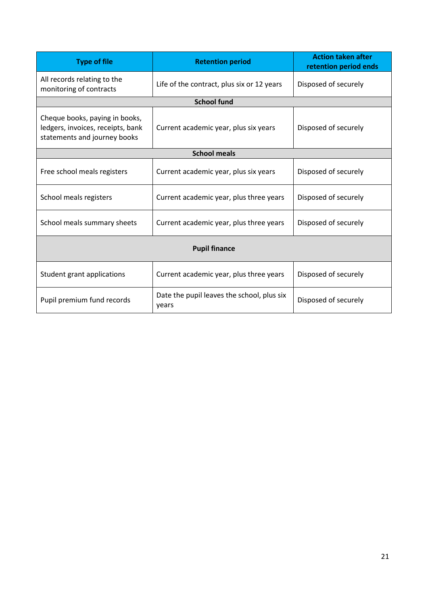<span id="page-20-0"></span>

| <b>Type of file</b>                                                                                 | <b>Retention period</b>                             | <b>Action taken after</b><br>retention period ends |
|-----------------------------------------------------------------------------------------------------|-----------------------------------------------------|----------------------------------------------------|
| All records relating to the<br>monitoring of contracts                                              | Life of the contract, plus six or 12 years          | Disposed of securely                               |
|                                                                                                     | <b>School fund</b>                                  |                                                    |
| Cheque books, paying in books,<br>ledgers, invoices, receipts, bank<br>statements and journey books | Current academic year, plus six years               | Disposed of securely                               |
|                                                                                                     | <b>School meals</b>                                 |                                                    |
| Free school meals registers                                                                         | Current academic year, plus six years               | Disposed of securely                               |
| School meals registers                                                                              | Current academic year, plus three years             | Disposed of securely                               |
| School meals summary sheets                                                                         | Current academic year, plus three years             | Disposed of securely                               |
| <b>Pupil finance</b>                                                                                |                                                     |                                                    |
| Student grant applications                                                                          | Current academic year, plus three years             | Disposed of securely                               |
| Pupil premium fund records                                                                          | Date the pupil leaves the school, plus six<br>years | Disposed of securely                               |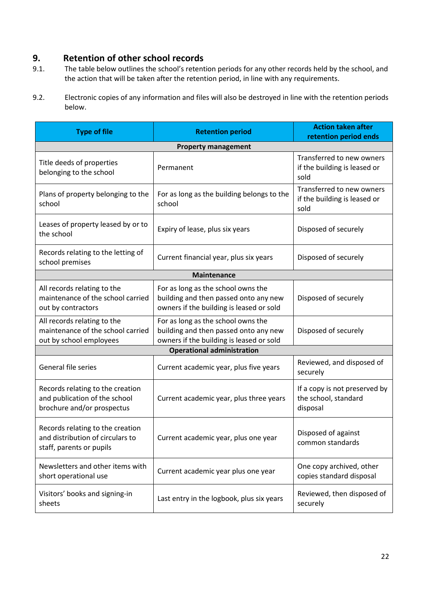# **9. Retention of other school records**

- 9.1. The table below outlines the school's retention periods for any other records held by the school, and the action that will be taken after the retention period, in line with any requirements.
- 9.2. Electronic copies of any information and files will also be destroyed in line with the retention periods below.

| <b>Type of file</b>                                                                              | <b>Retention period</b>                                                                                                 | <b>Action taken after</b><br>retention period ends                |
|--------------------------------------------------------------------------------------------------|-------------------------------------------------------------------------------------------------------------------------|-------------------------------------------------------------------|
|                                                                                                  | <b>Property management</b>                                                                                              |                                                                   |
| Title deeds of properties<br>belonging to the school                                             | Permanent                                                                                                               | Transferred to new owners<br>if the building is leased or<br>sold |
| Plans of property belonging to the<br>school                                                     | For as long as the building belongs to the<br>school                                                                    | Transferred to new owners<br>if the building is leased or<br>sold |
| Leases of property leased by or to<br>the school                                                 | Expiry of lease, plus six years                                                                                         | Disposed of securely                                              |
| Records relating to the letting of<br>school premises                                            | Current financial year, plus six years                                                                                  | Disposed of securely                                              |
|                                                                                                  | <b>Maintenance</b>                                                                                                      |                                                                   |
| All records relating to the<br>maintenance of the school carried<br>out by contractors           | For as long as the school owns the<br>building and then passed onto any new<br>owners if the building is leased or sold | Disposed of securely                                              |
| All records relating to the<br>maintenance of the school carried<br>out by school employees      | For as long as the school owns the<br>building and then passed onto any new<br>owners if the building is leased or sold | Disposed of securely                                              |
|                                                                                                  | <b>Operational administration</b>                                                                                       |                                                                   |
| General file series                                                                              | Current academic year, plus five years                                                                                  | Reviewed, and disposed of<br>securely                             |
| Records relating to the creation<br>and publication of the school<br>brochure and/or prospectus  | Current academic year, plus three years                                                                                 | If a copy is not preserved by<br>the school, standard<br>disposal |
| Records relating to the creation<br>and distribution of circulars to<br>staff, parents or pupils | Current academic year, plus one year                                                                                    | Disposed of against<br>common standards                           |
| Newsletters and other items with<br>short operational use                                        | Current academic year plus one year                                                                                     | One copy archived, other<br>copies standard disposal              |
| Visitors' books and signing-in<br>sheets                                                         | Last entry in the logbook, plus six years                                                                               | Reviewed, then disposed of<br>securely                            |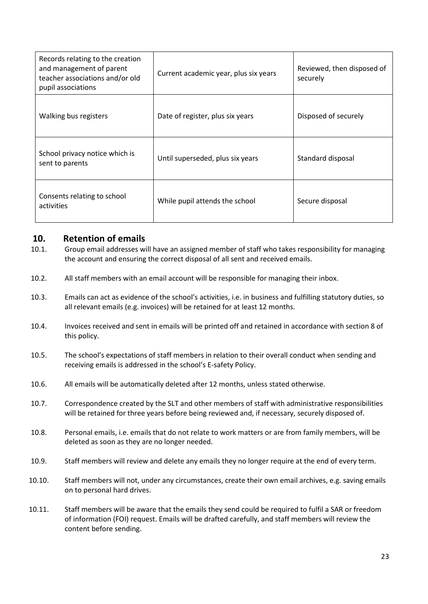| Records relating to the creation<br>and management of parent<br>teacher associations and/or old<br>pupil associations | Current academic year, plus six years | Reviewed, then disposed of<br>securely |
|-----------------------------------------------------------------------------------------------------------------------|---------------------------------------|----------------------------------------|
| Walking bus registers                                                                                                 | Date of register, plus six years      | Disposed of securely                   |
| School privacy notice which is<br>sent to parents                                                                     | Until superseded, plus six years      | Standard disposal                      |
| Consents relating to school<br>activities                                                                             | While pupil attends the school        | Secure disposal                        |

#### <span id="page-22-0"></span>**10. Retention of emails**

- 10.1. Group email addresses will have an assigned member of staff who takes responsibility for managing the account and ensuring the correct disposal of all sent and received emails.
- 10.2. All staff members with an email account will be responsible for managing their inbox.
- 10.3. Emails can act as evidence of the school's activities, i.e. in business and fulfilling statutory duties, so all relevant emails (e.g. invoices) will be retained for at least 12 months.
- 10.4. Invoices received and sent in emails will be printed off and retained in accordance with [section 8](#page-17-0) of this policy.
- 10.5. The school's expectations of staff members in relation to their overall conduct when sending and receiving emails is addressed in the school's E-safety Policy.
- 10.6. All emails will be automatically deleted after 12 months, unless stated otherwise.
- 10.7. Correspondence created by the SLT and other members of staff with administrative responsibilities will be retained for three years before being reviewed and, if necessary, securely disposed of.
- 10.8. Personal emails, i.e. emails that do not relate to work matters or are from family members, will be deleted as soon as they are no longer needed.
- 10.9. Staff members will review and delete any emails they no longer require at the end of every term.
- 10.10. Staff members will not, under any circumstances, create their own email archives, e.g. saving emails on to personal hard drives.
- 10.11. Staff members will be aware that the emails they send could be required to fulfil a SAR or freedom of information (FOI) request. Emails will be drafted carefully, and staff members will review the content before sending.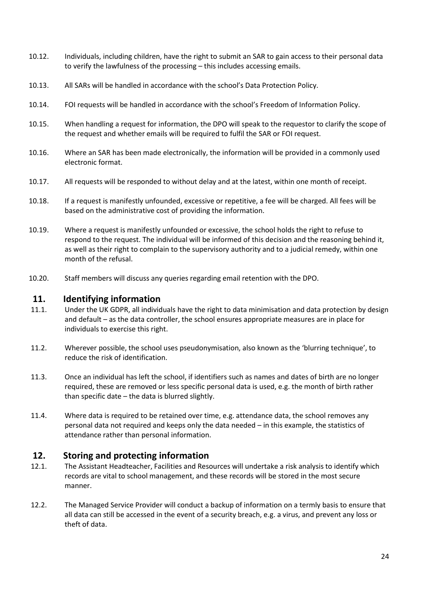- 10.12. Individuals, including children, have the right to submit an SAR to gain access to their personal data to verify the lawfulness of the processing – this includes accessing emails.
- 10.13. All SARs will be handled in accordance with the school's Data Protection Policy.
- 10.14. FOI requests will be handled in accordance with the school's Freedom of Information Policy.
- 10.15. When handling a request for information, the DPO will speak to the requestor to clarify the scope of the request and whether emails will be required to fulfil the SAR or FOI request.
- 10.16. Where an SAR has been made electronically, the information will be provided in a commonly used electronic format.
- 10.17. All requests will be responded to without delay and at the latest, within one month of receipt.
- 10.18. If a request is manifestly unfounded, excessive or repetitive, a fee will be charged. All fees will be based on the administrative cost of providing the information.
- 10.19. Where a request is manifestly unfounded or excessive, the school holds the right to refuse to respond to the request. The individual will be informed of this decision and the reasoning behind it, as well as their right to complain to the supervisory authority and to a judicial remedy, within one month of the refusal.
- 10.20. Staff members will discuss any queries regarding email retention with the DPO.

#### **11. Identifying information**

- 11.1. Under the UK GDPR, all individuals have the right to data minimisation and data protection by design and default – as the data controller, the school ensures appropriate measures are in place for individuals to exercise this right.
- 11.2. Wherever possible, the school uses pseudonymisation, also known as the 'blurring technique', to reduce the risk of identification.
- 11.3. Once an individual has left the school, if identifiers such as names and dates of birth are no longer required, these are removed or less specific personal data is used, e.g. the month of birth rather than specific date – the data is blurred slightly.
- 11.4. Where data is required to be retained over time, e.g. attendance data, the school removes any personal data not required and keeps only the data needed – in this example, the statistics of attendance rather than personal information.

#### **12. Storing and protecting information**

- 12.1. The Assistant Headteacher, Facilities and Resources will undertake a risk analysis to identify which records are vital to school management, and these records will be stored in the most secure manner.
- 12.2. The Managed Service Provider will conduct a backup of information on a termly basis to ensure that all data can still be accessed in the event of a security breach, e.g. a virus, and prevent any loss or theft of data.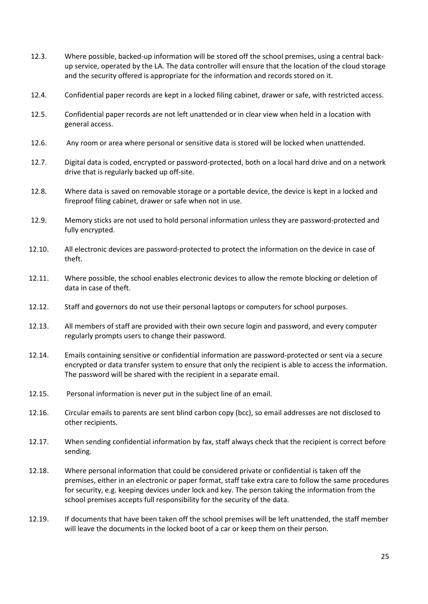- 12.3. Where possible, backed-up information will be stored off the school premises, using a central backup service, operated by the LA. The data controller will ensure that the location of the cloud storage and the security offered is appropriate for the information and records stored on it.
- 12.4. Confidential paper records are kept in a locked filing cabinet, drawer or safe, with restricted access.
- 12.5. Confidential paper records are not left unattended or in clear view when held in a location with general access.
- 12.6. Any room or area where personal or sensitive data is stored will be locked when unattended.
- 12.7. Digital data is coded, encrypted or password-protected, both on a local hard drive and on a network drive that is regularly backed up off-site.
- 12.8. Where data is saved on removable storage or a portable device, the device is kept in a locked and fireproof filing cabinet, drawer or safe when not in use.
- 12.9. Memory sticks are not used to hold personal information unless they are password-protected and fully encrypted.
- 12.10. All electronic devices are password-protected to protect the information on the device in case of theft.
- 12.11. Where possible, the school enables electronic devices to allow the remote blocking or deletion of data in case of theft.
- 12.12. Staff and governors do not use their personal laptops or computers for school purposes.
- 12.13. All members of staff are provided with their own secure login and password, and every computer regularly prompts users to change their password.
- 12.14. Emails containing sensitive or confidential information are password-protected or sent via a secure encrypted or data transfer system to ensure that only the recipient is able to access the information. The password will be shared with the recipient in a separate email.
- 12.15. Personal information is never put in the subject line of an email.
- 12.16. Circular emails to parents are sent blind carbon copy (bcc), so email addresses are not disclosed to other recipients.
- 12.17. When sending confidential information by fax, staff always check that the recipient is correct before sending.
- 12.18. Where personal information that could be considered private or confidential is taken off the premises, either in an electronic or paper format, staff take extra care to follow the same procedures for security, e.g. keeping devices under lock and key. The person taking the information from the school premises accepts full responsibility for the security of the data.
- 12.19. If documents that have been taken off the school premises will be left unattended, the staff member will leave the documents in the locked boot of a car or keep them on their person.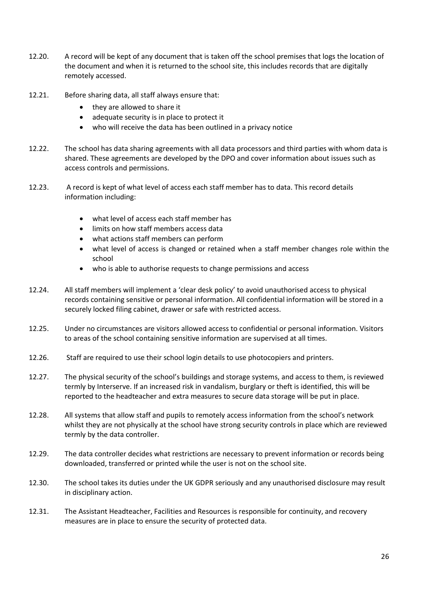- 12.20. A record will be kept of any document that is taken off the school premises that logs the location of the document and when it is returned to the school site, this includes records that are digitally remotely accessed.
- 12.21. Before sharing data, all staff always ensure that:
	- they are allowed to share it
	- adequate security is in place to protect it
	- who will receive the data has been outlined in a privacy notice
- 12.22. The school has data sharing agreements with all data processors and third parties with whom data is shared. These agreements are developed by the DPO and cover information about issues such as access controls and permissions.
- 12.23. A record is kept of what level of access each staff member has to data. This record details information including:
	- what level of access each staff member has
	- limits on how staff members access data
	- what actions staff members can perform
	- what level of access is changed or retained when a staff member changes role within the school
	- who is able to authorise requests to change permissions and access
- 12.24. All staff members will implement a 'clear desk policy' to avoid unauthorised access to physical records containing sensitive or personal information. All confidential information will be stored in a securely locked filing cabinet, drawer or safe with restricted access.
- 12.25. Under no circumstances are visitors allowed access to confidential or personal information. Visitors to areas of the school containing sensitive information are supervised at all times.
- 12.26. Staff are required to use their school login details to use photocopiers and printers.
- 12.27. The physical security of the school's buildings and storage systems, and access to them, is reviewed termly by Interserve. If an increased risk in vandalism, burglary or theft is identified, this will be reported to the headteacher and extra measures to secure data storage will be put in place.
- 12.28. All systems that allow staff and pupils to remotely access information from the school's network whilst they are not physically at the school have strong security controls in place which are reviewed termly by the data controller.
- 12.29. The data controller decides what restrictions are necessary to prevent information or records being downloaded, transferred or printed while the user is not on the school site.
- 12.30. The school takes its duties under the UK GDPR seriously and any unauthorised disclosure may result in disciplinary action.
- 12.31. The Assistant Headteacher, Facilities and Resources is responsible for continuity, and recovery measures are in place to ensure the security of protected data.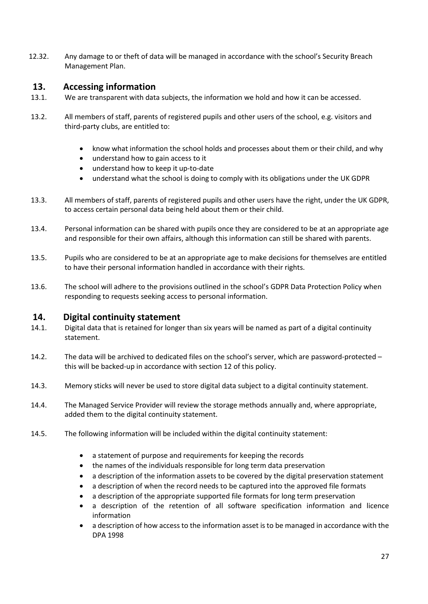12.32. Any damage to or theft of data will be managed in accordance with the school's Security Breach Management Plan.

#### <span id="page-26-0"></span>**13. Accessing information**

- 13.1. We are transparent with data subjects, the information we hold and how it can be accessed.
- 13.2. All members of staff, parents of registered pupils and other users of the school, e.g. visitors and third-party clubs, are entitled to:
	- know what information the school holds and processes about them or their child, and why
	- understand how to gain access to it
	- understand how to keep it up-to-date
	- understand what the school is doing to comply with its obligations under the UK GDPR
- 13.3. All members of staff, parents of registered pupils and other users have the right, under the UK GDPR, to access certain personal data being held about them or their child.
- 13.4. Personal information can be shared with pupils once they are considered to be at an appropriate age and responsible for their own affairs, although this information can still be shared with parents.
- 13.5. Pupils who are considered to be at an appropriate age to make decisions for themselves are entitled to have their personal information handled in accordance with their rights.
- 13.6. The school will adhere to the provisions outlined in the school's GDPR Data Protection Policy when responding to requests seeking access to personal information.

#### <span id="page-26-1"></span>**14. Digital continuity statement**

- 14.1. Digital data that is retained for longer than six years will be named as part of a digital continuity statement.
- 14.2. The data will be archived to dedicated files on the school's server, which are password-protected this will be backed-up in accordance with section 12 of this policy.
- 14.3. Memory sticks will never be used to store digital data subject to a digital continuity statement.
- 14.4. The Managed Service Provider will review the storage methods annually and, where appropriate, added them to the digital continuity statement.
- 14.5. The following information will be included within the digital continuity statement:
	- a statement of purpose and requirements for keeping the records
	- the names of the individuals responsible for long term data preservation
	- a description of the information assets to be covered by the digital preservation statement
	- a description of when the record needs to be captured into the approved file formats
	- a description of the appropriate supported file formats for long term preservation
	- a description of the retention of all software specification information and licence information
	- a description of how access to the information asset is to be managed in accordance with the DPA 1998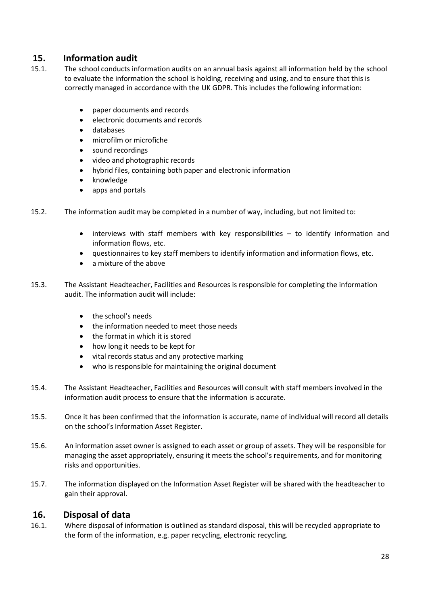# <span id="page-27-0"></span>**15. Information audit**

- 15.1. The school conducts information audits on an annual basis against all information held by the school to evaluate the information the school is holding, receiving and using, and to ensure that this is correctly managed in accordance with the UK GDPR. This includes the following information:
	- paper documents and records
	- electronic documents and records
	- databases
	- microfilm or microfiche
	- sound recordings
	- video and photographic records
	- hybrid files, containing both paper and electronic information
	- knowledge
	- apps and portals
- 15.2. The information audit may be completed in a number of way, including, but not limited to:
	- interviews with staff members with key responsibilities to identify information and information flows, etc.
	- questionnaires to key staff members to identify information and information flows, etc.
	- a mixture of the above
- 15.3. The Assistant Headteacher, Facilities and Resources is responsible for completing the information audit. The information audit will include:
	- the school's needs
	- the information needed to meet those needs
	- the format in which it is stored
	- how long it needs to be kept for
	- vital records status and any protective marking
	- who is responsible for maintaining the original document
- 15.4. The Assistant Headteacher, Facilities and Resources will consult with staff members involved in the information audit process to ensure that the information is accurate.
- 15.5. Once it has been confirmed that the information is accurate, name of individual will record all details on the school's Information Asset Register.
- 15.6. An information asset owner is assigned to each asset or group of assets. They will be responsible for managing the asset appropriately, ensuring it meets the school's requirements, and for monitoring risks and opportunities.
- 15.7. The information displayed on the Information Asset Register will be shared with the headteacher to gain their approval.

#### <span id="page-27-1"></span>**16. Disposal of data**

16.1. Where disposal of information is outlined as standard disposal, this will be recycled appropriate to the form of the information, e.g. paper recycling, electronic recycling.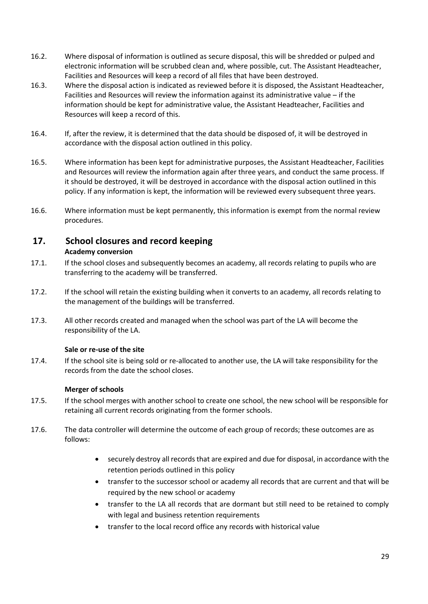- 16.2. Where disposal of information is outlined as secure disposal, this will be shredded or pulped and electronic information will be scrubbed clean and, where possible, cut. The Assistant Headteacher, Facilities and Resources will keep a record of all files that have been destroyed.
- 16.3. Where the disposal action is indicated as reviewed before it is disposed, the Assistant Headteacher, Facilities and Resources will review the information against its administrative value – if the information should be kept for administrative value, the Assistant Headteacher, Facilities and Resources will keep a record of this.
- 16.4. If, after the review, it is determined that the data should be disposed of, it will be destroyed in accordance with the disposal action outlined in this policy.
- 16.5. Where information has been kept for administrative purposes, the Assistant Headteacher, Facilities and Resources will review the information again after three years, and conduct the same process. If it should be destroyed, it will be destroyed in accordance with the disposal action outlined in this policy. If any information is kept, the information will be reviewed every subsequent three years.
- 16.6. Where information must be kept permanently, this information is exempt from the normal review procedures.

# **17. School closures and record keeping**

#### **Academy conversion**

- 17.1. If the school closes and subsequently becomes an academy, all records relating to pupils who are transferring to the academy will be transferred.
- 17.2. If the school will retain the existing building when it converts to an academy, all records relating to the management of the buildings will be transferred.
- 17.3. All other records created and managed when the school was part of the LA will become the responsibility of the LA.

#### **Sale or re-use of the site**

17.4. If the school site is being sold or re-allocated to another use, the LA will take responsibility for the records from the date the school closes.

#### **Merger of schools**

- 17.5. If the school merges with another school to create one school, the new school will be responsible for retaining all current records originating from the former schools.
- 17.6. The data controller will determine the outcome of each group of records; these outcomes are as follows:
	- securely destroy all records that are expired and due for disposal, in accordance with the retention periods outlined in this policy
	- transfer to the successor school or academy all records that are current and that will be required by the new school or academy
	- transfer to the LA all records that are dormant but still need to be retained to comply with legal and business retention requirements
	- transfer to the local record office any records with historical value